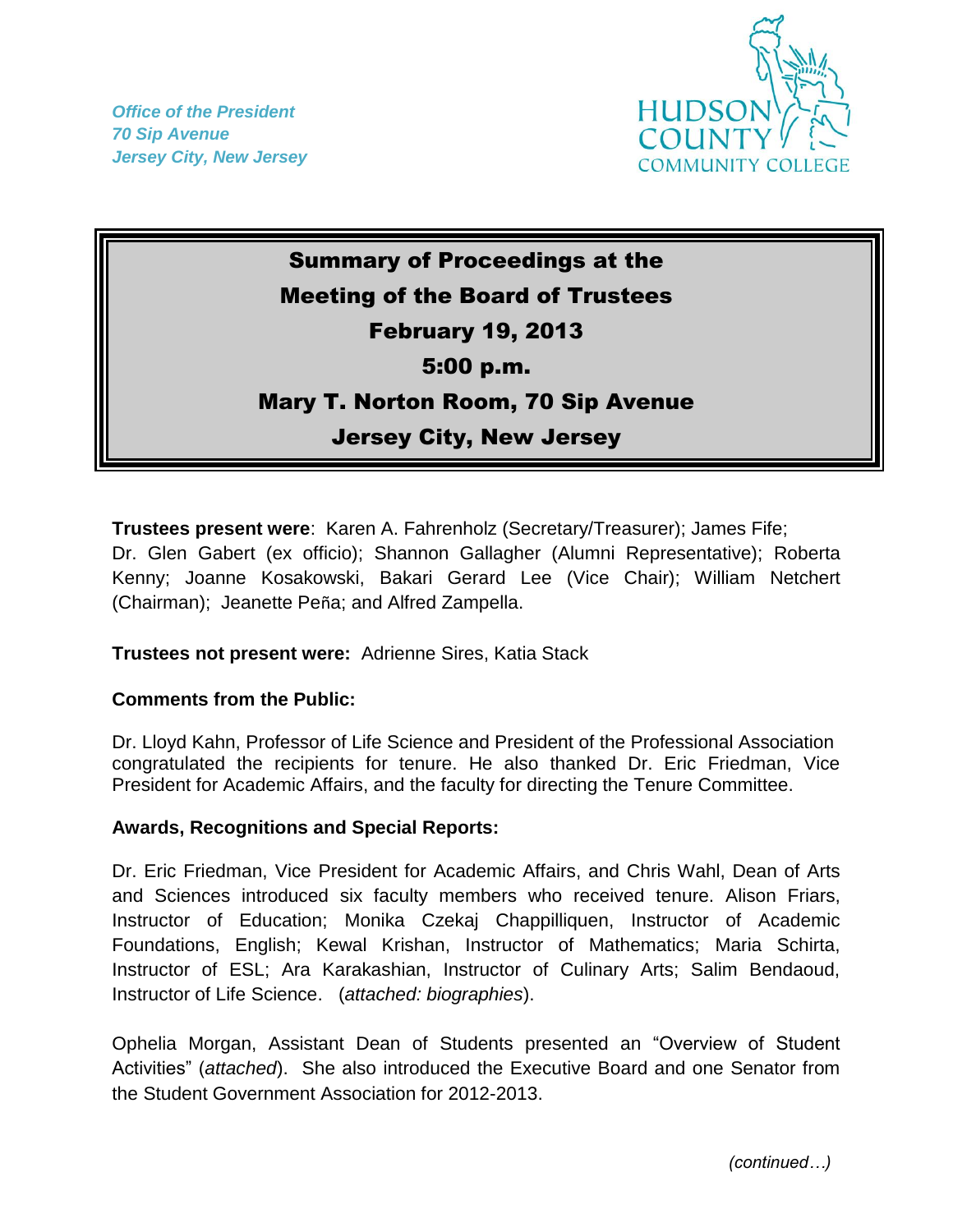*Office of the President 70 Sip Avenue Jersey City, New Jersey*



## Summary of Proceedings at the Meeting of the Board of Trustees February 19, 2013 5:00 p.m. Mary T. Norton Room, 70 Sip Avenue Jersey City, New Jersey

**Trustees present were**: Karen A. Fahrenholz (Secretary/Treasurer); James Fife; Dr. Glen Gabert (ex officio); Shannon Gallagher (Alumni Representative); Roberta Kenny; Joanne Kosakowski, Bakari Gerard Lee (Vice Chair); William Netchert (Chairman); Jeanette Peña; and Alfred Zampella.

## **Trustees not present were:** Adrienne Sires, Katia Stack

## **Comments from the Public:**

Dr. Lloyd Kahn, Professor of Life Science and President of the Professional Association congratulated the recipients for tenure. He also thanked Dr. Eric Friedman, Vice President for Academic Affairs, and the faculty for directing the Tenure Committee.

## **Awards, Recognitions and Special Reports:**

Dr. Eric Friedman, Vice President for Academic Affairs, and Chris Wahl, Dean of Arts and Sciences introduced six faculty members who received tenure. Alison Friars, Instructor of Education; Monika Czekaj Chappilliquen, Instructor of Academic Foundations, English; Kewal Krishan, Instructor of Mathematics; Maria Schirta, Instructor of ESL; Ara Karakashian, Instructor of Culinary Arts; Salim Bendaoud, Instructor of Life Science. (*attached: biographies*).

Ophelia Morgan, Assistant Dean of Students presented an "Overview of Student Activities" (*attached*). She also introduced the Executive Board and one Senator from the Student Government Association for 2012-2013.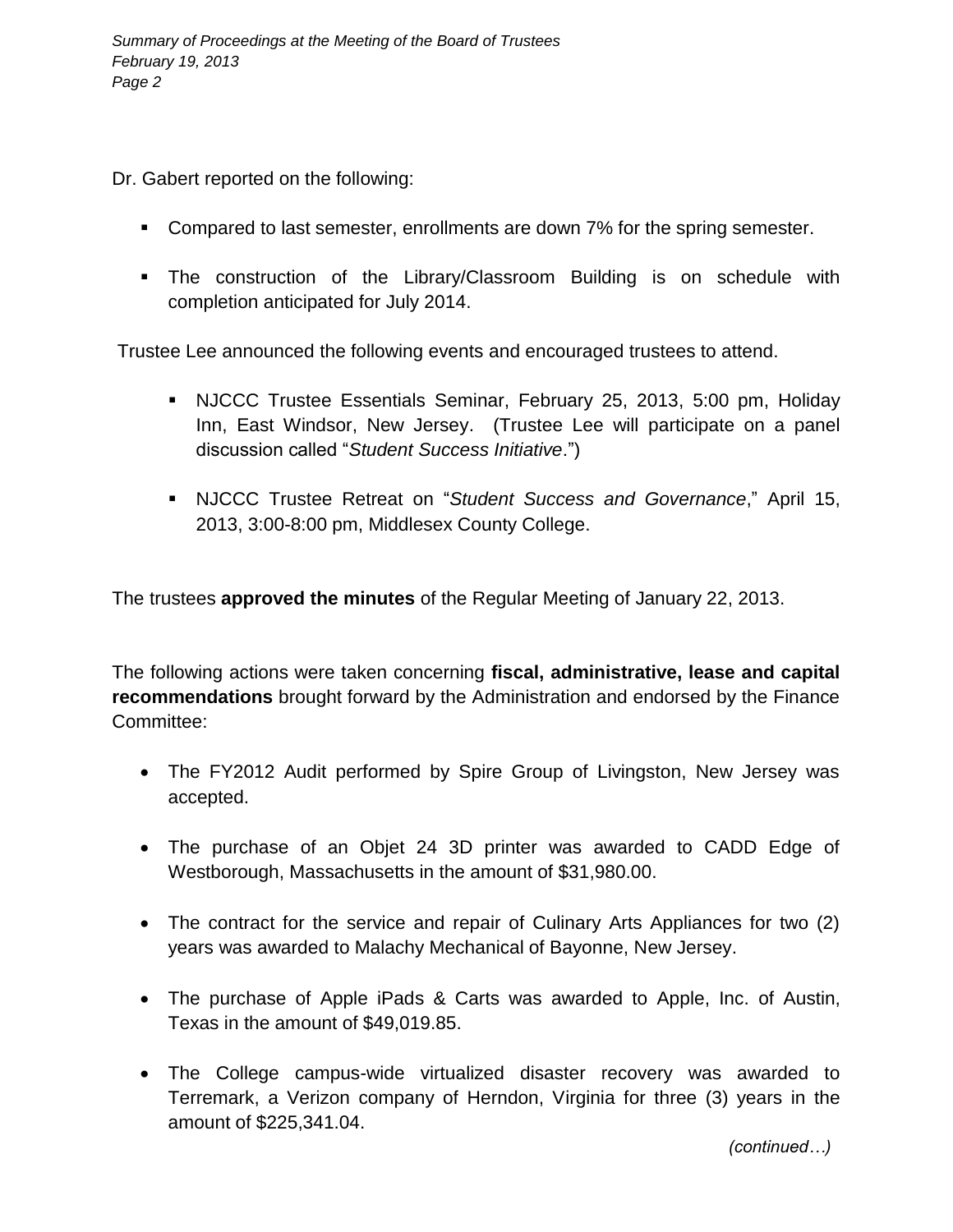Dr. Gabert reported on the following:

- **Compared to last semester, enrollments are down 7% for the spring semester.**
- **The construction of the Library/Classroom Building is on schedule with** completion anticipated for July 2014.

Trustee Lee announced the following events and encouraged trustees to attend.

- NJCCC Trustee Essentials Seminar, February 25, 2013, 5:00 pm, Holiday Inn, East Windsor, New Jersey. (Trustee Lee will participate on a panel discussion called "*Student Success Initiative*.")
- NJCCC Trustee Retreat on "*Student Success and Governance*," April 15, 2013, 3:00-8:00 pm, Middlesex County College.

The trustees **approved the minutes** of the Regular Meeting of January 22, 2013.

The following actions were taken concerning **fiscal, administrative, lease and capital recommendations** brought forward by the Administration and endorsed by the Finance Committee:

- The FY2012 Audit performed by Spire Group of Livingston, New Jersey was accepted.
- The purchase of an Objet 24 3D printer was awarded to CADD Edge of Westborough, Massachusetts in the amount of \$31,980.00.
- The contract for the service and repair of Culinary Arts Appliances for two (2) years was awarded to Malachy Mechanical of Bayonne, New Jersey.
- The purchase of Apple iPads & Carts was awarded to Apple, Inc. of Austin, Texas in the amount of \$49,019.85.
- The College campus-wide virtualized disaster recovery was awarded to Terremark, a Verizon company of Herndon, Virginia for three (3) years in the amount of \$225,341.04.

*(continued…)*